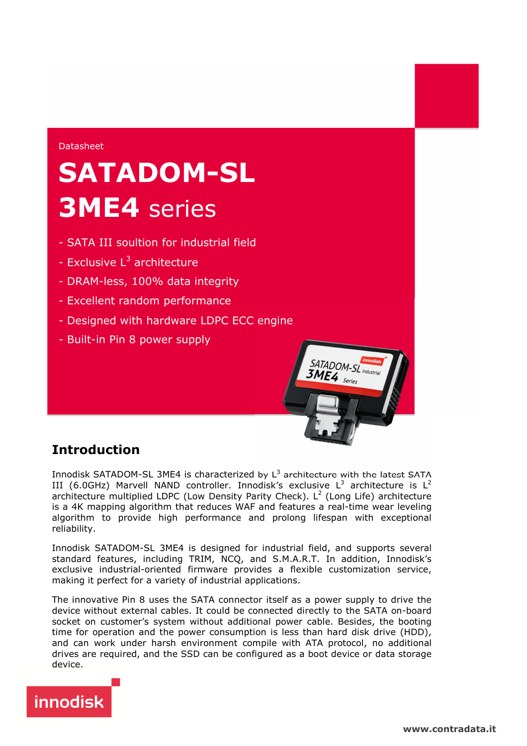#### Datasheet

# **SATADOM-SL 3ME4** series

- SATA III soultion for industrial field
- Exclusive L<sup>3</sup> architecture
- DRAM-less, 100% data integrity
- Excellent random performance
- Designed with hardware LDPC ECC engine
- Built-in Pin 8 power supply



## **Introduction**

Innodisk SATADOM-SL 3ME4 is characterized by  $L^3$  architecture with the latest SATA III (6.0GHz) Marvell NAND controller. Innodisk's exclusive  $L^3$  architecture is  $L^2$ architecture multiplied LDPC (Low Density Parity Check). L<sup>2</sup> (Long Life) architecture is a 4K mapping algorithm that reduces WAF and features a real-time wear leveling algorithm to provide high performance and prolong lifespan with exceptional reliability.

Innodisk SATADOM-SL 3ME4 is designed for industrial field, and supports several standard features, including TRIM, NCQ, and S.M.A.R.T. In addition, Innodisk's exclusive industrial-oriented firmware provides a flexible customization service, making it perfect for a variety of industrial applications.

The innovative Pin 8 uses the SATA connector itself as a power supply to drive the device without external cables. It could be connected directly to the SATA on-board socket on customer's system without additional power cable. Besides, the booting time for operation and the power consumption is less than hard disk drive (HDD), and can work under harsh environment compile with ATA protocol, no additional drives are required, and the SSD can be configured as a boot device or data storage device.